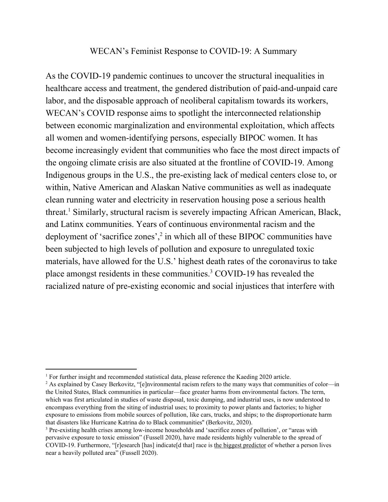## WECAN's Feminist Response to COVID-19: A Summary

As the COVID-19 pandemic continues to uncover the structural inequalities in healthcare access and treatment, the gendered distribution of paid-and-unpaid care labor, and the disposable approach of neoliberal capitalism towards its workers, WECAN's COVID response aims to spotlight the interconnected relationship between economic marginalization and environmental exploitation, which affects all women and women-identifying persons, especially BIPOC women. It has become increasingly evident that communities who face the most direct impacts of the ongoing climate crisis are also situated at the frontline of COVID-19. Among Indigenous groups in the U.S., the pre-existing lack of medical centers close to, or within, Native American and Alaskan Native communities as well as inadequate clean running water and electricity in reservation housing pose a serious health threat.<sup>1</sup> Similarly, structural racism is severely impacting African American, Black, and Latinx communities. Years of continuous environmental racism and the deployment of 'sacrifice zones', $\frac{2}{3}$  in which all of these BIPOC communities have been subjected to high levels of pollution and exposure to unregulated toxic materials, have allowed for the U.S.' highest death rates of the coronavirus to take place amongst residents in these communities.<sup>3</sup> COVID-19 has revealed the racialized nature of pre-existing economic and social injustices that interfere with

<sup>&</sup>lt;sup>1</sup> For further insight and recommended statistical data, please reference the Kaeding 2020 article.

<sup>&</sup>lt;sup>2</sup> As explained by Casey Berkovitz, "[e]nvironmental racism refers to the many ways that communities of color—in the United States, Black communities in particular—face greater harms from environmental factors. The term, which was first [articulated](https://www.routledge.com/Dumping-In-Dixie-Race-Class-And-Environmental-Quality-Third-Edition/Bullard/p/book/9780813367927) in studies of waste disposal, toxic dumping, and industrial uses, is now understood to encompass everything from the siting of industrial uses; to proximity to power plants and factories; to higher exposure to emissions from mobile sources of pollution, like cars, trucks, and ships; to the disproportionate harm that disasters like Hurricane Katrina do to Black communities'' (Berkovitz, 2020).

<sup>3</sup> Pre-existing health crises among low-income households and 'sacrifice zones of pollution', or "areas with pervasive exposure to toxic emission" (Fussell 2020), have made residents highly vulnerable to the spread of COVID-19. Furthermore, "[r]esearch [has] indicate[d that] race is the biggest [predictor](https://www.thenation.com/article/archive/race-best-predicts-whether-you-live-near-pollution/) of whether a person lives near a heavily polluted area" (Fussell 2020).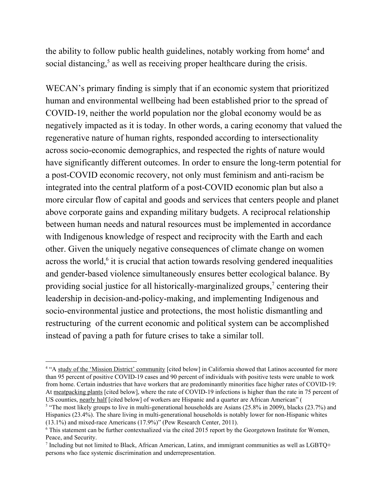the ability to follow public health guidelines, notably working from home<sup>4</sup> and social distancing, $5$  as well as receiving proper healthcare during the crisis.

WECAN's primary finding is simply that if an economic system that prioritized human and environmental wellbeing had been established prior to the spread of COVID-19, neither the world population nor the global economy would be as negatively impacted as it is today. In other words, a caring economy that valued the regenerative nature of human rights, responded according to intersectionality across socio-economic demographics, and respected the rights of nature would have significantly different outcomes. In order to ensure the long-term potential for a post-COVID economic recovery, not only must feminism and anti-racism be integrated into the central platform of a post-COVID economic plan but also a more circular flow of capital and goods and services that centers people and planet above corporate gains and expanding military budgets. A reciprocal relationship between human needs and natural resources must be implemented in accordance with Indigenous knowledge of respect and reciprocity with the Earth and each other. Given the uniquely negative consequences of climate change on women across the world, $6$  it is crucial that action towards resolving gendered inequalities and gender-based violence simultaneously ensures better ecological balance. By providing social justice for all historically-marginalized groups,<sup>7</sup> centering their leadership in decision-and-policy-making, and implementing Indigenous and socio-environmental justice and protections, the most holistic dismantling and restructuring of the current economic and political system can be accomplished instead of paving a path for future crises to take a similar toll.

<sup>&</sup>lt;sup>4</sup> "A study of the 'Mission District' [community](https://www.ucsf.edu/news/2020/05/417356/initial-results-mission-district-covid-19-testing-announced) [cited below] in California showed that Latinos accounted for more than 95 percent of positive COVID-19 cases and 90 percent of individuals with positive tests were unable to work from home. Certain industries that have workers that are predominantly minorities face higher rates of COVID-19: At [meatpacking](https://www.usatoday.com/in-depth/news/investigations/2020/04/22/meat-packing-plants-covid-may-force-choice-worker-health-food/2995232001/) plants [cited below], where the rate of COVID-19 infections is higher than the rate in 75 percent of US counties, [nearly](https://cepr.net/meatpacking-workers-are-a-diverse-group-who-need-better-protections/) half [cited below] of [workers](https://cepr.net/meatpacking-workers-are-a-diverse-group-who-need-better-protections/) are Hispanic and a quarter are African American" (

<sup>&</sup>lt;sup>5</sup> "The most likely groups to live in multi-generational households are Asians (25.8% in 2009), blacks (23.7%) and Hispanics (23.4%). The share living in multi-generational households is notably lower for non-Hispanic whites (13.1%) and mixed-race Americans (17.9%)" (Pew Research Center, 2011).

<sup>6</sup> This statement can be further contextualized via the cited 2015 report by the Georgetown Institute for Women, Peace, and Security.

<sup>7</sup> Including but not limited to Black, African American, Latinx, and immigrant communities as well as LGBTQ+ persons who face systemic discrimination and underrepresentation.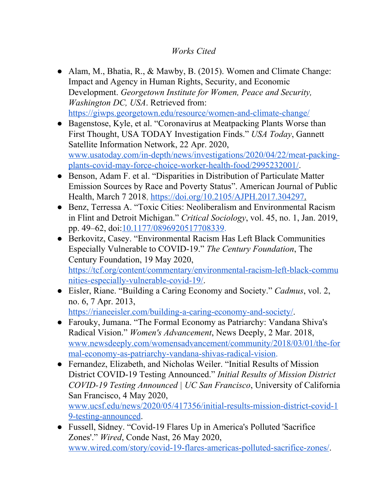## *Works Cited*

- Alam, M., Bhatia, R., & Mawby, B. (2015). Women and Climate Change: Impact and Agency in Human Rights, Security, and Economic Development. *Georgetown Institute for Women, Peace and Security, Washington DC, USA*. Retrieved from: <https://giwps.georgetown.edu/resource/women-and-climate-change/>
- Bagenstose, Kyle, et al. "Coronavirus at Meatpacking Plants Worse than First Thought, USA TODAY Investigation Finds." *USA Today*, Gannett Satellite Information Network, 22 Apr. 2020, [www.usatoday.com/in-depth/news/investigations/2020/04/22/meat-packing](http://www.usatoday.com/in-depth/news/investigations/2020/04/22/meat-packing-plants-covid-may-force-choice-worker-health-food/2995232001/)[plants-covid-may-force-choice-worker-health-food/2995232001/.](http://www.usatoday.com/in-depth/news/investigations/2020/04/22/meat-packing-plants-covid-may-force-choice-worker-health-food/2995232001/)
- Benson, Adam F. et al. "Disparities in Distribution of Particulate Matter Emission Sources by Race and Poverty Status". American Journal of Public Health, March 7 2018, [https://doi.org/10.2105/AJPH.2017.304297](https://ajph.aphapublications.org/doi/abs/10.2105/AJPH.2017.304297).
- Benz, Terressa A. "Toxic Cities: Neoliberalism and Environmental Racism in Flint and Detroit Michigan." *Critical Sociology*, vol. 45, no. 1, Jan. 2019, pp. 49–62, doi:[10.1177/0896920517708339](https://doi.org/10.1177/0896920517708339).
- Berkovitz, Casey. "Environmental Racism Has Left Black Communities Especially Vulnerable to COVID-19." *The Century Foundation*, The Century Foundation, 19 May 2020, [https://tcf.org/content/commentary/environmental-racism-left-black-commu](https://tcf.org/content/commentary/environmental-racism-left-black-communities-especially-vulnerable-covid-19/) [nities-especially-vulnerable-covid-19/.](https://tcf.org/content/commentary/environmental-racism-left-black-communities-especially-vulnerable-covid-19/)
- Eisler, Riane. "Building a Caring Economy and Society." *Cadmus*, vol. 2, no. 6, 7 Apr. 2013, [https://rianeeisler.com/building-a-caring-economy-and-society/.](https://rianeeisler.com/building-a-caring-economy-and-society/)
- Farouky, Jumana. "The Formal Economy as Patriarchy: Vandana Shiva's Radical Vision." *Women's Advancement*, News Deeply, 2 Mar. 2018, [www.newsdeeply.com/womensadvancement/community/2018/03/01/the-for](http://www.newsdeeply.com/womensadvancement/community/2018/03/01/the-formal-economy-as-patriarchy-vandana-shivas-radical-vision) [mal-economy-as-patriarchy-vandana-shivas-radical-vision](http://www.newsdeeply.com/womensadvancement/community/2018/03/01/the-formal-economy-as-patriarchy-vandana-shivas-radical-vision).
- Fernandez, Elizabeth, and Nicholas Weiler. "Initial Results of Mission District COVID-19 Testing Announced." *Initial Results of Mission District COVID-19 Testing Announced | UC San Francisco*, University of California San Francisco, 4 May 2020, [www.ucsf.edu/news/2020/05/417356/initial-results-mission-district-covid-1](http://www.ucsf.edu/news/2020/05/417356/initial-results-mission-district-covid-19-testing-announced) [9-testing-announced](http://www.ucsf.edu/news/2020/05/417356/initial-results-mission-district-covid-19-testing-announced).
- Fussell, Sidney. "Covid-19 Flares Up in America's Polluted 'Sacrifice Zones'." *Wired*, Conde Nast, 26 May 2020, [www.wired.com/story/covid-19-flares-americas-polluted-sacrifice-zones/.](http://www.wired.com/story/covid-19-flares-americas-polluted-sacrifice-zones/)